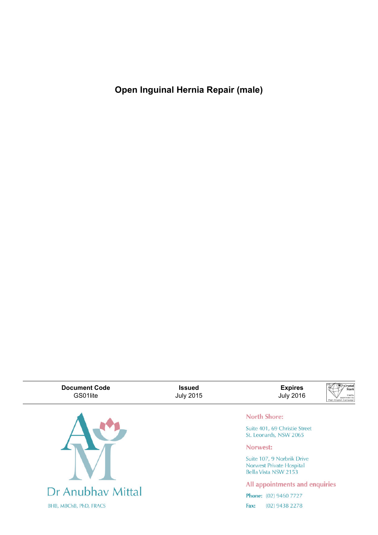**Open Inguinal Hernia Repair (male)**

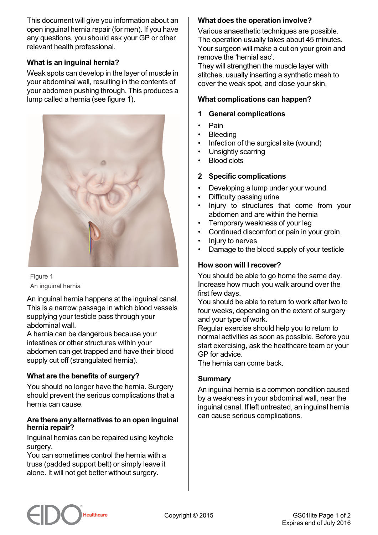This document will give you information about an open inguinal hernia repair (for men). If you have any questions, you should ask your GP or other relevant health professional.

# **What is an inguinal hernia?**

Weak spots can develop in the layer of muscle in your abdominal wall, resulting in the contents of your abdomen pushing through. This produces a lump called a hernia (see figure 1).



Figure 1 An inguinal hernia

An inguinal hernia happens at the inguinal canal. This is a narrow passage in which blood vessels supplying your testicle pass through your abdominal wall.

A hernia can be dangerous because your intestines or other structures within your abdomen can get trapped and have their blood supply cut off (strangulated hernia).

# **What are the benefits of surgery?**

You should no longer have the hernia. Surgery should prevent the serious complications that a hernia can cause.

#### **Are there any alternatives to an open inguinal hernia repair?**

Inguinal hernias can be repaired using keyhole surgery.

You can sometimes control the hernia with a truss (padded support belt) or simply leave it alone. It will not get better without surgery.

## **What does the operation involve?**

Various anaesthetic techniques are possible. The operation usually takes about 45 minutes. Your surgeon will make a cut on your groin and remove the 'hernial sac'.

They will strengthen the muscle layer with stitches, usually inserting a synthetic mesh to cover the weak spot, and close your skin.

### **What complications can happen?**

#### **1 General complications**

- Pain
- **Bleeding**
- Infection of the surgical site (wound)
- Unsightly scarring
- Blood clots

### **2 Specific complications**

- Developing a lump under your wound
- Difficulty passing urine
- Injury to structures that come from your abdomen and are within the hernia
- Temporary weakness of your leg
- Continued discomfort or pain in your groin
- Injury to nerves
- Damage to the blood supply of your testicle

### **How soon will I recover?**

You should be able to go home the same day. Increase how much you walk around over the first few days.

You should be able to return to work after two to four weeks, depending on the extent of surgery and your type of work.

Regular exercise should help you to return to normal activities as soon as possible. Before you start exercising, ask the healthcare team or your GP for advice.

The hernia can come back.

### **Summary**

An inguinal hernia is a common condition caused by a weakness in your abdominal wall, near the inguinal canal. If left untreated, an inguinal hernia can cause serious complications.